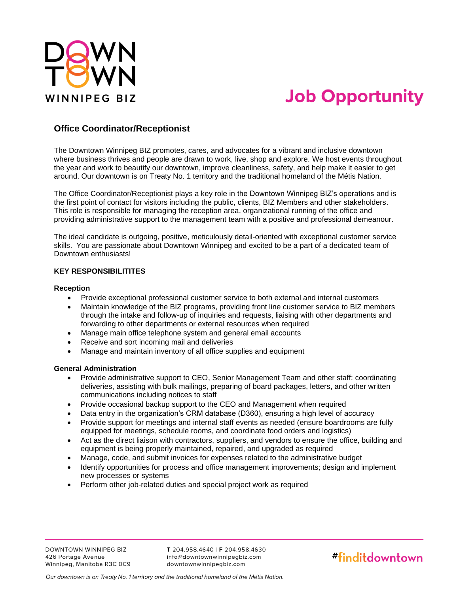

# **Job Opportunity**

### **Office Coordinator/Receptionist**

The Downtown Winnipeg BIZ promotes, cares, and advocates for a vibrant and inclusive downtown where business thrives and people are drawn to work, live, shop and explore. We host events throughout the year and work to beautify our downtown, improve cleanliness, safety, and help make it easier to get around. Our downtown is on Treaty No. 1 territory and the traditional homeland of the Métis Nation.

The Office Coordinator/Receptionist plays a key role in the Downtown Winnipeg BIZ's operations and is the first point of contact for visitors including the public, clients, BIZ Members and other stakeholders. This role is responsible for managing the reception area, organizational running of the office and providing administrative support to the management team with a positive and professional demeanour.

The ideal candidate is outgoing, positive, meticulously detail-oriented with exceptional customer service skills. You are passionate about Downtown Winnipeg and excited to be a part of a dedicated team of Downtown enthusiasts!

#### **KEY RESPONSIBILITITES**

#### **Reception**

- Provide exceptional professional customer service to both external and internal customers
- Maintain knowledge of the BIZ programs, providing front line customer service to BIZ members through the intake and follow-up of inquiries and requests, liaising with other departments and forwarding to other departments or external resources when required
- Manage main office telephone system and general email accounts
- Receive and sort incoming mail and deliveries
- Manage and maintain inventory of all office supplies and equipment

#### **General Administration**

- Provide administrative support to CEO, Senior Management Team and other staff: coordinating deliveries, assisting with bulk mailings, preparing of board packages, letters, and other written communications including notices to staff
- Provide occasional backup support to the CEO and Management when required
- Data entry in the organization's CRM database (D360), ensuring a high level of accuracy
- Provide support for meetings and internal staff events as needed (ensure boardrooms are fully equipped for meetings, schedule rooms, and coordinate food orders and logistics)
- Act as the direct liaison with contractors, suppliers, and vendors to ensure the office, building and equipment is being properly maintained, repaired, and upgraded as required
- Manage, code, and submit invoices for expenses related to the administrative budget
- Identify opportunities for process and office management improvements; design and implement new processes or systems
- Perform other job-related duties and special project work as required

T 204.958.4640 | F 204.958.4630 info@downtownwinnipegbiz.com downtownwinnipegbiz.com

## #finditdowntown

Our downtown is on Treaty No. 1 territory and the traditional homeland of the Métis Nation.